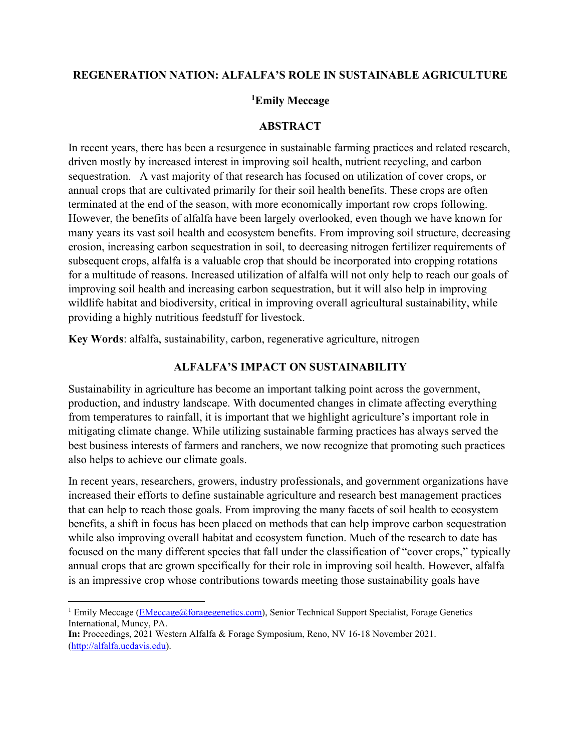### **REGENERATION NATION: ALFALFA'S ROLE IN SUSTAINABLE AGRICULTURE**

### **[1](#page-0-0)Emily Meccage**

#### **ABSTRACT**

In recent years, there has been a resurgence in sustainable farming practices and related research, driven mostly by increased interest in improving soil health, nutrient recycling, and carbon sequestration. A vast majority of that research has focused on utilization of cover crops, or annual crops that are cultivated primarily for their soil health benefits. These crops are often terminated at the end of the season, with more economically important row crops following. However, the benefits of alfalfa have been largely overlooked, even though we have known for many years its vast soil health and ecosystem benefits. From improving soil structure, decreasing erosion, increasing carbon sequestration in soil, to decreasing nitrogen fertilizer requirements of subsequent crops, alfalfa is a valuable crop that should be incorporated into cropping rotations for a multitude of reasons. Increased utilization of alfalfa will not only help to reach our goals of improving soil health and increasing carbon sequestration, but it will also help in improving wildlife habitat and biodiversity, critical in improving overall agricultural sustainability, while providing a highly nutritious feedstuff for livestock.

**Key Words**: alfalfa, sustainability, carbon, regenerative agriculture, nitrogen

### **ALFALFA'S IMPACT ON SUSTAINABILITY**

Sustainability in agriculture has become an important talking point across the government, production, and industry landscape. With documented changes in climate affecting everything from temperatures to rainfall, it is important that we highlight agriculture's important role in mitigating climate change. While utilizing sustainable farming practices has always served the best business interests of farmers and ranchers, we now recognize that promoting such practices also helps to achieve our climate goals.

In recent years, researchers, growers, industry professionals, and government organizations have increased their efforts to define sustainable agriculture and research best management practices that can help to reach those goals. From improving the many facets of soil health to ecosystem benefits, a shift in focus has been placed on methods that can help improve carbon sequestration while also improving overall habitat and ecosystem function. Much of the research to date has focused on the many different species that fall under the classification of "cover crops," typically annual crops that are grown specifically for their role in improving soil health. However, alfalfa is an impressive crop whose contributions towards meeting those sustainability goals have

<span id="page-0-0"></span><sup>&</sup>lt;sup>1</sup> Emily Meccage [\(EMeccage@foragegenetics.com\)](mailto:EMeccage@foragegenetics.com), Senior Technical Support Specialist, Forage Genetics International, Muncy, PA.

**In:** Proceedings, 2021 Western Alfalfa & Forage Symposium, Reno, NV 16-18 November 2021. [\(http://alfalfa.ucdavis.edu\)](http://alfalfa.ucdavis.edu/).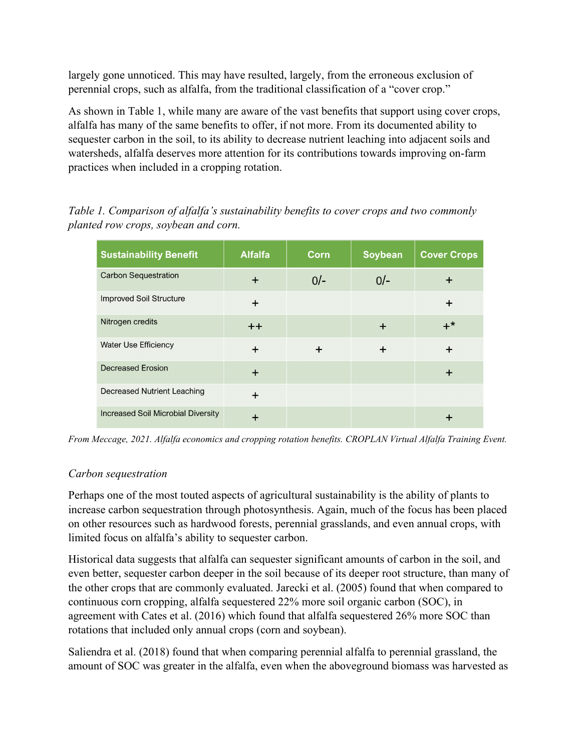largely gone unnoticed. This may have resulted, largely, from the erroneous exclusion of perennial crops, such as alfalfa, from the traditional classification of a "cover crop."

As shown in Table 1, while many are aware of the vast benefits that support using cover crops, alfalfa has many of the same benefits to offer, if not more. From its documented ability to sequester carbon in the soil, to its ability to decrease nutrient leaching into adjacent soils and watersheds, alfalfa deserves more attention for its contributions towards improving on-farm practices when included in a cropping rotation.

| <b>Sustainability Benefit</b>             | <b>Alfalfa</b> | Corn   | Soybean | <b>Cover Crops</b> |
|-------------------------------------------|----------------|--------|---------|--------------------|
| <b>Carbon Sequestration</b>               | $\div$         | $0/-$  | $0/-$   |                    |
| <b>Improved Soil Structure</b>            | $\div$         |        |         | ┿                  |
| Nitrogen credits                          | $++$           |        | $\div$  | $+^*$              |
| <b>Water Use Efficiency</b>               | $\div$         | $\div$ | $\div$  |                    |
| <b>Decreased Erosion</b>                  |                |        |         |                    |
| Decreased Nutrient Leaching               | $\div$         |        |         |                    |
| <b>Increased Soil Microbial Diversity</b> |                |        |         |                    |

*Table 1. Comparison of alfalfa's sustainability benefits to cover crops and two commonly planted row crops, soybean and corn.*

*From Meccage, 2021. Alfalfa economics and cropping rotation benefits. CROPLAN Virtual Alfalfa Training Event.*

## *Carbon sequestration*

Perhaps one of the most touted aspects of agricultural sustainability is the ability of plants to increase carbon sequestration through photosynthesis. Again, much of the focus has been placed on other resources such as hardwood forests, perennial grasslands, and even annual crops, with limited focus on alfalfa's ability to sequester carbon.

Historical data suggests that alfalfa can sequester significant amounts of carbon in the soil, and even better, sequester carbon deeper in the soil because of its deeper root structure, than many of the other crops that are commonly evaluated. Jarecki et al. (2005) found that when compared to continuous corn cropping, alfalfa sequestered 22% more soil organic carbon (SOC), in agreement with Cates et al. (2016) which found that alfalfa sequestered 26% more SOC than rotations that included only annual crops (corn and soybean).

Saliendra et al. (2018) found that when comparing perennial alfalfa to perennial grassland, the amount of SOC was greater in the alfalfa, even when the aboveground biomass was harvested as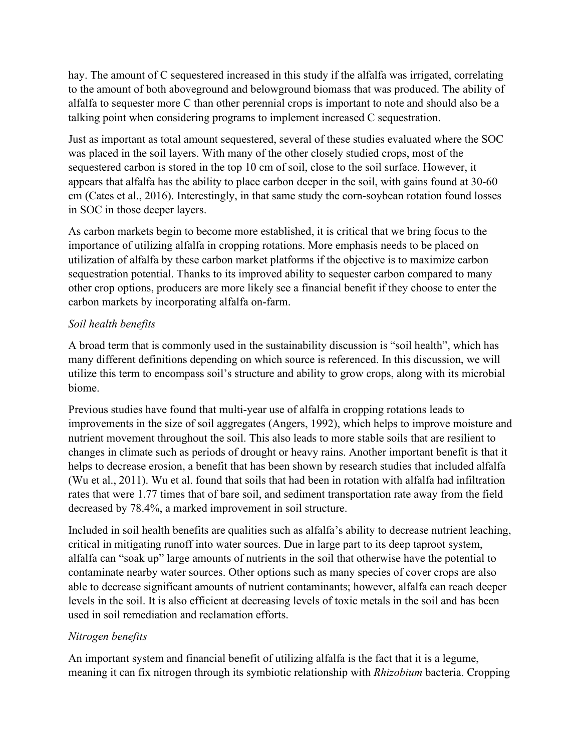hay. The amount of C sequestered increased in this study if the alfalfa was irrigated, correlating to the amount of both aboveground and belowground biomass that was produced. The ability of alfalfa to sequester more C than other perennial crops is important to note and should also be a talking point when considering programs to implement increased C sequestration.

Just as important as total amount sequestered, several of these studies evaluated where the SOC was placed in the soil layers. With many of the other closely studied crops, most of the sequestered carbon is stored in the top 10 cm of soil, close to the soil surface. However, it appears that alfalfa has the ability to place carbon deeper in the soil, with gains found at 30-60 cm (Cates et al., 2016). Interestingly, in that same study the corn-soybean rotation found losses in SOC in those deeper layers.

As carbon markets begin to become more established, it is critical that we bring focus to the importance of utilizing alfalfa in cropping rotations. More emphasis needs to be placed on utilization of alfalfa by these carbon market platforms if the objective is to maximize carbon sequestration potential. Thanks to its improved ability to sequester carbon compared to many other crop options, producers are more likely see a financial benefit if they choose to enter the carbon markets by incorporating alfalfa on-farm.

## *Soil health benefits*

A broad term that is commonly used in the sustainability discussion is "soil health", which has many different definitions depending on which source is referenced. In this discussion, we will utilize this term to encompass soil's structure and ability to grow crops, along with its microbial biome.

Previous studies have found that multi-year use of alfalfa in cropping rotations leads to improvements in the size of soil aggregates (Angers, 1992), which helps to improve moisture and nutrient movement throughout the soil. This also leads to more stable soils that are resilient to changes in climate such as periods of drought or heavy rains. Another important benefit is that it helps to decrease erosion, a benefit that has been shown by research studies that included alfalfa (Wu et al., 2011). Wu et al. found that soils that had been in rotation with alfalfa had infiltration rates that were 1.77 times that of bare soil, and sediment transportation rate away from the field decreased by 78.4%, a marked improvement in soil structure.

Included in soil health benefits are qualities such as alfalfa's ability to decrease nutrient leaching, critical in mitigating runoff into water sources. Due in large part to its deep taproot system, alfalfa can "soak up" large amounts of nutrients in the soil that otherwise have the potential to contaminate nearby water sources. Other options such as many species of cover crops are also able to decrease significant amounts of nutrient contaminants; however, alfalfa can reach deeper levels in the soil. It is also efficient at decreasing levels of toxic metals in the soil and has been used in soil remediation and reclamation efforts.

# *Nitrogen benefits*

An important system and financial benefit of utilizing alfalfa is the fact that it is a legume, meaning it can fix nitrogen through its symbiotic relationship with *Rhizobium* bacteria. Cropping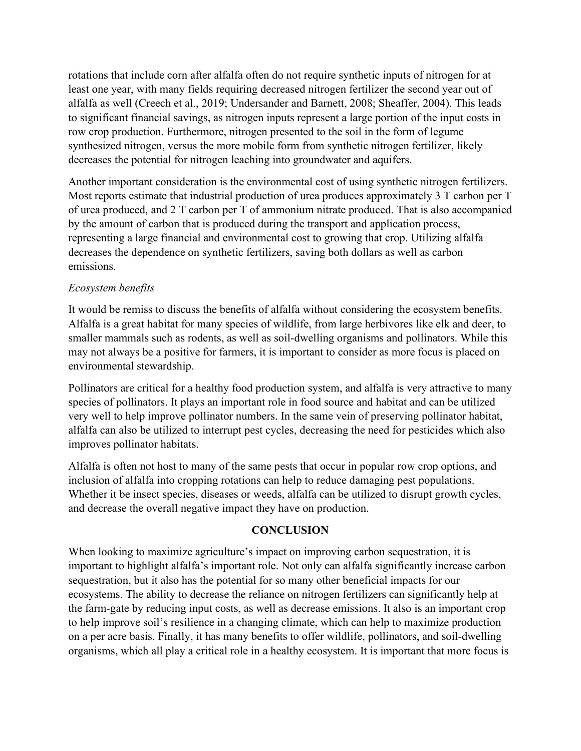rotations that include corn after alfalfa often do not require synthetic inputs of nitrogen for at least one year, with many fields requiring decreased nitrogen fertilizer the second year out of alfalfa as well (Creech et al., 2019; Undersander and Barnett, 2008; Sheaffer, 2004). This leads to significant financial savings, as nitrogen inputs represent a large portion of the input costs in row crop production. Furthermore, nitrogen presented to the soil in the form of legume synthesized nitrogen, versus the more mobile form from synthetic nitrogen fertilizer, likely decreases the potential for nitrogen leaching into groundwater and aquifers.

Another important consideration is the environmental cost of using synthetic nitrogen fertilizers. Most reports estimate that industrial production of urea produces approximately 3 T carbon per T of urea produced, and 2 T carbon per T of ammonium nitrate produced. That is also accompanied by the amount of carbon that is produced during the transport and application process, representing a large financial and environmental cost to growing that crop. Utilizing alfalfa decreases the dependence on synthetic fertilizers, saving both dollars as well as carbon emissions.

## *Ecosystem benefits*

It would be remiss to discuss the benefits of alfalfa without considering the ecosystem benefits. Alfalfa is a great habitat for many species of wildlife, from large herbivores like elk and deer, to smaller mammals such as rodents, as well as soil-dwelling organisms and pollinators. While this may not always be a positive for farmers, it is important to consider as more focus is placed on environmental stewardship.

Pollinators are critical for a healthy food production system, and alfalfa is very attractive to many species of pollinators. It plays an important role in food source and habitat and can be utilized very well to help improve pollinator numbers. In the same vein of preserving pollinator habitat, alfalfa can also be utilized to interrupt pest cycles, decreasing the need for pesticides which also improves pollinator habitats.

Alfalfa is often not host to many of the same pests that occur in popular row crop options, and inclusion of alfalfa into cropping rotations can help to reduce damaging pest populations. Whether it be insect species, diseases or weeds, alfalfa can be utilized to disrupt growth cycles, and decrease the overall negative impact they have on production.

## **CONCLUSION**

When looking to maximize agriculture's impact on improving carbon sequestration, it is important to highlight alfalfa's important role. Not only can alfalfa significantly increase carbon sequestration, but it also has the potential for so many other beneficial impacts for our ecosystems. The ability to decrease the reliance on nitrogen fertilizers can significantly help at the farm-gate by reducing input costs, as well as decrease emissions. It also is an important crop to help improve soil's resilience in a changing climate, which can help to maximize production on a per acre basis. Finally, it has many benefits to offer wildlife, pollinators, and soil-dwelling organisms, which all play a critical role in a healthy ecosystem. It is important that more focus is